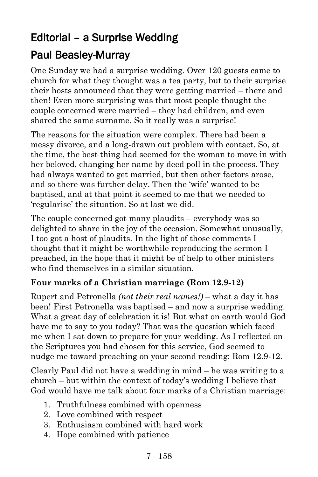# Editorial – a Surprise Wedding

### Paul Beasley-Murray

One Sunday we had a surprise wedding. Over 120 guests came to church for what they thought was a tea party, but to their surprise their hosts announced that they were getting married – there and then! Even more surprising was that most people thought the couple concerned were married – they had children, and even shared the same surname. So it really was a surprise!

The reasons for the situation were complex. There had been a messy divorce, and a long-drawn out problem with contact. So, at the time, the best thing had seemed for the woman to move in with her beloved, changing her name by deed poll in the process. They had always wanted to get married, but then other factors arose, and so there was further delay. Then the 'wife' wanted to be baptised, and at that point it seemed to me that we needed to 'regularise' the situation. So at last we did.

The couple concerned got many plaudits – everybody was so delighted to share in the joy of the occasion. Somewhat unusually, I too got a host of plaudits. In the light of those comments I thought that it might be worthwhile reproducing the sermon I preached, in the hope that it might be of help to other ministers who find themselves in a similar situation.

#### **Four marks of a Christian marriage (Rom 12.9-12)**

Rupert and Petronella *(not their real names!)* – what a day it has been! First Petronella was baptised – and now a surprise wedding. What a great day of celebration it is! But what on earth would God have me to say to you today? That was the question which faced me when I sat down to prepare for your wedding. As I reflected on the Scriptures you had chosen for this service, God seemed to nudge me toward preaching on your second reading: Rom 12.9-12.

Clearly Paul did not have a wedding in mind – he was writing to a church – but within the context of today's wedding I believe that God would have me talk about four marks of a Christian marriage:

- 1. Truthfulness combined with openness
- 2. Love combined with respect
- 3. Enthusiasm combined with hard work
- 4. Hope combined with patience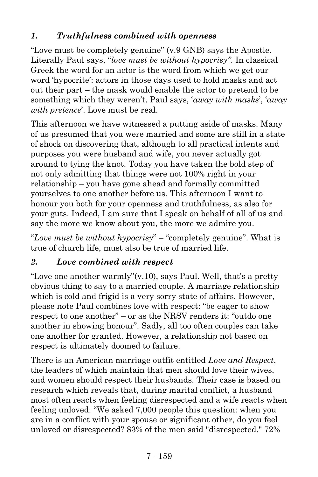#### *1. Truthfulness combined with openness*

"Love must be completely genuine" (v.9 GNB) says the Apostle. Literally Paul says, "*love must be without hypocrisy"*. In classical Greek the word for an actor is the word from which we get our word 'hypocrite': actors in those days used to hold masks and act out their part – the mask would enable the actor to pretend to be something which they weren't. Paul says, '*away with masks*', '*away with pretence*'. Love must be real.

This afternoon we have witnessed a putting aside of masks. Many of us presumed that you were married and some are still in a state of shock on discovering that, although to all practical intents and purposes you were husband and wife, you never actually got around to tying the knot. Today you have taken the bold step of not only admitting that things were not 100% right in your relationship – you have gone ahead and formally committed yourselves to one another before us. This afternoon I want to honour you both for your openness and truthfulness, as also for your guts. Indeed, I am sure that I speak on behalf of all of us and say the more we know about you, the more we admire you.

"*Love must be without hypocrisy*" – "completely genuine". What is true of church life, must also be true of married life.

#### *2. Love combined with respect*

"Love one another warmly" $(v, 10)$ , says Paul. Well, that's a pretty obvious thing to say to a married couple. A marriage relationship which is cold and frigid is a very sorry state of affairs. However, please note Paul combines love with respect: "be eager to show respect to one another" – or as the NRSV renders it: "outdo one another in showing honour". Sadly, all too often couples can take one another for granted. However, a relationship not based on respect is ultimately doomed to failure.

There is an American marriage outfit entitled *Love and Respect*, the leaders of which maintain that men should love their wives, and women should respect their husbands. Their case is based on research which reveals that, during marital conflict, a husband most often reacts when feeling disrespected and a wife reacts when feeling unloved: "We asked 7,000 people this question: when you are in a conflict with your spouse or significant other, do you feel unloved or disrespected? 83% of the men said "disrespected." 72%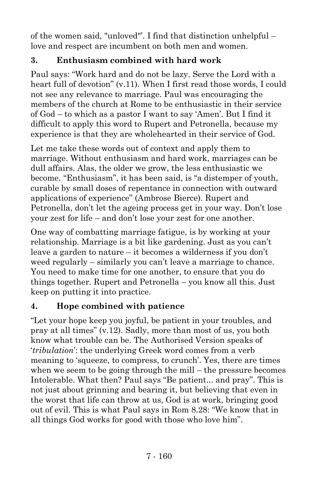of the women said, "unloved"'. I find that distinction unhelpful – love and respect are incumbent on both men and women.

#### **3. Enthusiasm combined with hard work**

Paul says: "Work hard and do not be lazy. Serve the Lord with a heart full of devotion" (v.11). When I first read those words, I could not see any relevance to marriage. Paul was encouraging the members of the church at Rome to be enthusiastic in their service of God – to which as a pastor I want to say 'Amen'. But I find it difficult to apply this word to Rupert and Petronella, because my experience is that they are wholehearted in their service of God.

Let me take these words out of context and apply them to marriage. Without enthusiasm and hard work, marriages can be dull affairs. Alas, the older we grow, the less enthusiastic we become. "Enthusiasm", it has been said, is "a distemper of youth, curable by small doses of repentance in connection with outward applications of experience" (Ambrose Bierce). Rupert and Petronella, don't let the ageing process get in your way. Don't lose your zest for life – and don't lose your zest for one another.

One way of combatting marriage fatigue, is by working at your relationship. Marriage is a bit like gardening. Just as you can't leave a garden to nature – it becomes a wilderness if you don't weed regularly – similarly you can't leave a marriage to chance. You need to make time for one another, to ensure that you do things together. Rupert and Petronella – you know all this. Just keep on putting it into practice.

#### **4. Hope combined with patience**

"Let your hope keep you joyful, be patient in your troubles, and pray at all times" (v.12). Sadly, more than most of us, you both know what trouble can be. The Authorised Version speaks of '*tribulation*': the underlying Greek word comes from a verb meaning to 'squeeze, to compress, to crunch'. Yes, there are times when we seem to be going through the mill – the pressure becomes Intolerable. What then? Paul says "Be patient... and pray". This is not just about grinning and bearing it, but believing that even in the worst that life can throw at us, God is at work, bringing good out of evil. This is what Paul says in Rom 8.28: "We know that in all things God works for good with those who love him".